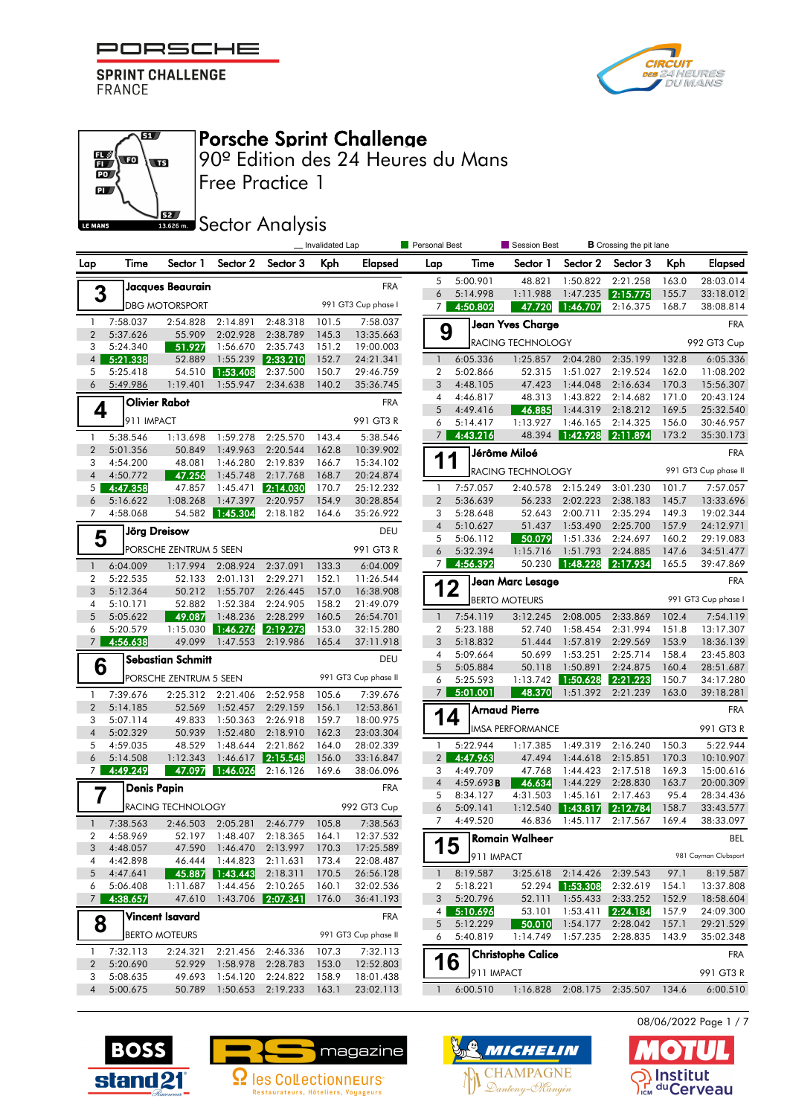

67

 $\overline{\mathbf{w}}$ 

62

 $\mathbb{E}\left( \mathbf{r}\right)$ 

 $\overline{\mathbf{D}}$  $\mathbf{p}$ 

LE MANS



## Porsche Sprint Challenge

Free Practice 1 90º Edition des 24 Heures du Mans

**SECTOR** Sector Analysis

|                                |                         |                          |                      |                                  | _Invalidated Lap |                        |                     | <b>Personal Best</b><br>Session Best |                                  |                      | <b>B</b> Crossing the pit lane |                |                        |
|--------------------------------|-------------------------|--------------------------|----------------------|----------------------------------|------------------|------------------------|---------------------|--------------------------------------|----------------------------------|----------------------|--------------------------------|----------------|------------------------|
| Lap                            | Time                    | Sector 1                 | Sector 2             | Sector 3                         | Kph              | Elapsed                | Lap                 | Time                                 | Sector 1                         | Sector 2             | Sector 3                       | Kph            | <b>Elapsed</b>         |
|                                |                         | Jacques Beaurain         |                      |                                  |                  | <b>FRA</b>             | 5                   | 5:00.901                             | 48.821                           | 1:50.822             | 2:21.258                       | 163.0          | 28:03.014              |
|                                | 3                       |                          |                      |                                  |                  |                        | 6                   | 5:14.998                             | 1:11.988                         | 1:47.235             | 2:15.775                       | 155.7          | 33:18.012              |
|                                |                         | <b>DBG MOTORSPORT</b>    |                      |                                  |                  | 991 GT3 Cup phase I    | 7 <sup>1</sup>      | 4:50.802                             | 47.720                           | 1:46.707             | 2:16.375                       | 168.7          | 38:08.814              |
| $\mathbf{1}$                   | 7:58.037                | 2:54.828                 | 2:14.891             | 2:48.318                         | 101.5            | 7:58.037               | 9                   |                                      | Jean Yves Charge                 |                      |                                |                | <b>FRA</b>             |
| $\overline{2}$<br>3            | 5:37.626<br>5:24.340    | 55.909<br>51.927         | 2:02.928<br>1:56.670 | 2:38.789<br>2:35.743             | 145.3<br>151.2   | 13:35.663<br>19:00.003 |                     |                                      | RACING TECHNOLOGY                |                      |                                |                | 992 GT3 Cup            |
| $\overline{4}$                 | 5:21.338                | 52.889                   | 1:55.239             | 2:33.210                         | 152.7            | 24:21.341              | $\mathbf{1}$        | 6:05.336                             | 1:25.857                         | 2:04.280             | 2:35.199                       | 132.8          | 6:05.336               |
| 5                              | 5:25.418                | 54.510                   | 1:53.408             | 2:37.500                         | 150.7            | 29:46.759              | $\overline{2}$      | 5:02.866                             | 52.315                           | 1:51.027             | 2:19.524                       | 162.0          | 11:08.202              |
| 6                              | 5:49.986                | 1:19.401                 | 1:55.947             | 2:34.638                         | 140.2            | 35:36.745              | 3                   | 4:48.105                             | 47.423                           | 1:44.048             | 2:16.634                       | 170.3          | 15:56.307              |
|                                |                         | <b>Olivier Rabot</b>     |                      |                                  |                  | <b>FRA</b>             | 4                   | 4:46.817                             | 48.313                           | 1:43.822             | 2:14.682                       | 171.0          | 20:43.124              |
|                                | 4<br>911 IMPACT         |                          |                      |                                  |                  |                        | 5                   | 4:49.416                             | 46.885                           | 1:44.319             | 2:18.212                       | 169.5          | 25:32.540              |
|                                |                         |                          |                      |                                  |                  | 991 GT3 R              | 6<br>$\overline{7}$ | 5:14.417<br>4:43.216                 | 1:13.927<br>48.394               | 1:46.165<br>1:42.928 | 2:14.325<br> 2:11.894          | 156.0<br>173.2 | 30:46.957<br>35:30.173 |
| $\mathbf{1}$<br>$\overline{2}$ | 5:38.546<br>5:01.356    | 1:13.698<br>50.849       | 1:59.278<br>1:49.963 | 2:25.570<br>2:20.544             | 143.4            | 5:38.546               |                     |                                      |                                  |                      |                                |                |                        |
| 3                              | 4:54.200                | 48.081                   | 1:46.280             | 2:19.839                         | 162.8<br>166.7   | 10:39.902<br>15:34.102 | 1<br>1              |                                      | Jérôme Miloé                     |                      |                                |                | <b>FRA</b>             |
| $\overline{4}$                 | 4:50.772                | 47.256                   | 1:45.748             | 2:17.768                         | 168.7            | 20:24.874              |                     |                                      | RACING TECHNOLOGY                |                      |                                |                | 991 GT3 Cup phase II   |
| 5                              | 4:47.358                | 47.857                   | 1:45.471             | 2:14.030                         | 170.7            | 25:12.232              | 1                   | 7:57.057                             | 2:40.578                         | 2:15.249             | 3:01.230                       | 101.7          | 7:57.057               |
| 6                              | 5:16.622                | 1:08.268                 | 1:47.397             | 2:20.957                         | 154.9            | 30:28.854              | $\overline{2}$      | 5:36.639                             | 56.233                           | 2:02.223             | 2:38.183                       | 145.7          | 13:33.696              |
| 7                              | 4:58.068                | 54.582                   | 1:45.304             | 2:18.182                         | 164.6            | 35:26.922              | 3                   | 5:28.648                             | 52.643                           | 2:00.711             | 2:35.294                       | 149.3          | 19:02.344              |
|                                |                         | <b>Jörg Dreisow</b>      |                      |                                  |                  | DEU                    | $\overline{4}$      | 5:10.627                             | 51.437                           | 1:53.490             | 2:25.700                       | 157.9          | 24:12.971              |
|                                | 5                       | PORSCHE ZENTRUM 5 SEEN   |                      |                                  |                  | 991 GT3 R              | 5<br>6              | 5:06.112<br>5:32.394                 | 50.079<br>1:15.716               | 1:51.336<br>1:51.793 | 2:24.697<br>2:24.885           | 160.2<br>147.6 | 29:19.083<br>34:51.477 |
| $\mathbf{1}$                   | 6:04.009                | 1:17.994                 | 2:08.924             | 2:37.091                         | 133.3            | 6:04.009               | 7 <sup>1</sup>      | 4:56.392                             | 50.230                           | 1:48.228             | 2:17.934                       | 165.5          | 39:47.869              |
| $\overline{2}$                 | 5:22.535                | 52.133                   | 2:01.131             | 2:29.271                         | 152.1            | 11:26.544              |                     |                                      |                                  |                      |                                |                | <b>FRA</b>             |
| 3                              | 5:12.364                | 50.212                   | 1:55.707             | 2:26.445                         | 157.0            | 16:38.908              | 12                  |                                      | Jean Marc Lesage                 |                      |                                |                |                        |
| 4                              | 5:10.171                | 52.882                   | 1:52.384             | 2:24.905                         | 158.2            | 21:49.079              |                     |                                      | <b>BERTO MOTEURS</b>             |                      |                                |                | 991 GT3 Cup phase I    |
| 5                              | 5:05.622                | 49.087                   | 1:48.236             | 2:28.299                         | 160.5            | 26:54.701              | $\mathbf{1}$        | 7:54.119                             | 3:12.245                         | 2:08.005             | 2:33.869                       | 102.4          | 7:54.119               |
| 6                              | 5:20.579                | 1:15.030                 | 1:46.276             | 2:19.273                         | 153.0            | 32:15.280              | 2                   | 5:23.188                             | 52.740                           | 1:58.454             | 2:31.994                       | 151.8          | 13:17.307              |
| 7 <sup>1</sup>                 | 4:56.638                | 49.099                   | 1:47.553             | 2:19.986                         | 165.4            | 37:11.918              | 3                   | 5:18.832<br>5:09.664                 | 51.444<br>50.699                 | 1:57.819<br>1:53.251 | 2:29.569<br>2:25.714           | 153.9<br>158.4 | 18:36.139              |
|                                | 6                       | <b>Sebastian Schmitt</b> |                      |                                  |                  | DEU                    | 4<br>5              | 5:05.884                             | 50.118                           | 1:50.891             | 2:24.875                       | 160.4          | 23:45.803<br>28:51.687 |
|                                |                         | PORSCHE ZENTRUM 5 SEEN   |                      |                                  |                  | 991 GT3 Cup phase II   | 6                   | 5:25.593                             | 1:13.742                         | 1:50.628             | 2:21.223                       | 150.7          | 34:17.280              |
| $\mathbf{1}$                   | 7:39.676                | 2:25.312                 | 2:21.406             | 2:52.958                         | 105.6            | 7:39.676               | 7 <sup>1</sup>      | 5:01.001                             | 48.370                           | 1:51.392             | 2:21.239                       | 163.0          | 39:18.281              |
| $\overline{2}$                 | 5:14.185                | 52.569                   | 1:52.457             | 2:29.159                         | 156.1            | 12:53.861              |                     |                                      | <b>Arnaud Pierre</b>             |                      |                                |                | <b>FRA</b>             |
| 3                              | 5:07.114                | 49.833                   | 1:50.363             | 2:26.918                         | 159.7            | 18:00.975              | 14                  |                                      |                                  |                      |                                |                |                        |
| $\overline{4}$                 | 5:02.329                | 50.939                   | 1:52.480             | 2:18.910                         | 162.3            | 23:03.304              |                     |                                      | <b>IMSA PERFORMANCE</b>          |                      |                                |                | 991 GT3 R              |
| 5                              | 4:59.035                | 48.529                   | 1:48.644             | 2:21.862                         | 164.0            | 28:02.339              | 1                   | 5:22.944                             | 1:17.385                         | 1:49.319             | 2:16.240                       | 150.3          | 5:22.944               |
| 6<br>7 <sup>1</sup>            | 5:14.508<br>4:49.249    | 1:12.343<br>47.097       | 1:46.617<br>1:46.026 | 2:15.548<br>2:16.126             | 156.0<br>169.6   | 33:16.847<br>38:06.096 | $\overline{2}$<br>3 | 4:47.963<br>4:49.709                 | 47.494<br>47.768                 | 1:44.618<br>1:44.423 | 2:15.851<br>2:17.518           | 170.3<br>169.3 | 10:10.907<br>15:00.616 |
|                                |                         |                          |                      |                                  |                  |                        | $\overline{4}$      | 4:59.693B                            | 46.634                           | 1:44.229             | 2:28.830                       | 163.7          | 20:00.309              |
|                                | <b>Denis Papin</b><br>7 |                          |                      |                                  |                  | <b>FRA</b>             | 5                   | 8:34.127                             | 4:31.503                         | 1:45.161             | 2:17.463                       | 95.4           | 28:34.436              |
|                                |                         | RACING TECHNOLOGY        |                      |                                  |                  | 992 GT3 Cup            | 6                   | 5:09.141                             | 1:12.540                         | 1:43.817             | 2:12.784                       | 158.7          | 33:43.577              |
| $\mathbf{1}$                   | 7:38.563                |                          |                      | 2:46.503 2:05.281 2:46.779 105.8 |                  | 7:38.563               | $\overline{7}$      | 4:49.520                             | 46.836                           | 1:45.117             | 2:17.567                       | 169.4          | 38:33.097              |
|                                | 2 4:58.969              |                          | 52.197 1:48.407      | 2:18.365 164.1                   |                  | 12:37.532              | ┍                   |                                      | Romain Walheer                   |                      |                                |                | <b>BEL</b>             |
| 3                              | 4:48.057                | 47.590                   | 1:46.470 2:13.997    |                                  | 170.3            | 17:25.589              | 15                  | 911 IMPACT                           |                                  |                      |                                |                | 981 Cayman Clubsport   |
| 4                              | 4:42.898                | 46.444                   | 1:44.823             | 2:11.631                         | 173.4            | 22:08.487              |                     |                                      |                                  |                      |                                |                |                        |
| 5<br>6                         | 4:47.641<br>5:06.408    | 45.887<br>1:11.687       | 1:43.443<br>1:44.456 | 2:18.311<br>2:10.265             | 170.5<br>160.1   | 26:56.128<br>32:02.536 | -1<br>2             | 8:19.587<br>5:18.221                 | 3:25.618 2:14.426<br>52.294      | 1:53.308             | 2:39.543<br>2:32.619           | 97.1<br>154.1  | 8:19.587<br>13:37.808  |
| 7 <sup>1</sup>                 | 4:38.657                | 47.610                   | 1:43.706             | 2:07.341                         | 176.0            | 36:41.193              | 3                   | 5:20.796                             | 52.111                           | 1:55.433             | 2:33.252                       | 152.9          | 18:58.604              |
|                                |                         | <b>Vincent Isavard</b>   |                      |                                  |                  | <b>FRA</b>             | 4 <sup>1</sup>      | 5:10.696                             | 53.101                           | 1:53.411             | 2:24.184                       | 157.9          | 24:09.300              |
|                                | 8                       |                          |                      |                                  |                  |                        | 5                   | 5:12.229                             | - 50.010                         | 1:54.177             | 2:28.042                       | 157.1          | 29:21.529              |
|                                |                         | <b>BERTO MOTEURS</b>     |                      |                                  |                  | 991 GT3 Cup phase II   | 6                   | 5:40.819                             | 1:14.749                         | 1:57.235             | 2:28.835                       | 143.9          | 35:02.348              |
| $\mathbf{1}$                   | 7:32.113                | 2:24.321                 | 2:21.456             | 2:46.336                         | 107.3            | 7:32.113               |                     |                                      | <b>Christophe Calice</b>         |                      |                                |                | <b>FRA</b>             |
| $\overline{2}$                 | 5:20.690                | 52.929                   | 1:58.978             | 2:28.783                         | 153.0            | 12:52.803              | 16                  | 911 IMPACT                           |                                  |                      |                                |                | 991 GT3 R              |
| 3<br>$\overline{4}$            | 5:08.635<br>5:00.675    | 49.693<br>50.789         | 1:50.653 2:19.233    | 1:54.120 2:24.822                | 158.9<br>163.1   | 18:01.438<br>23:02.113 | $\mathbf{1}$        | 6:00.510                             | 1:16.828 2:08.175 2:35.507 134.6 |                      |                                |                | 6:00.510               |
|                                |                         |                          |                      |                                  |                  |                        |                     |                                      |                                  |                      |                                |                |                        |







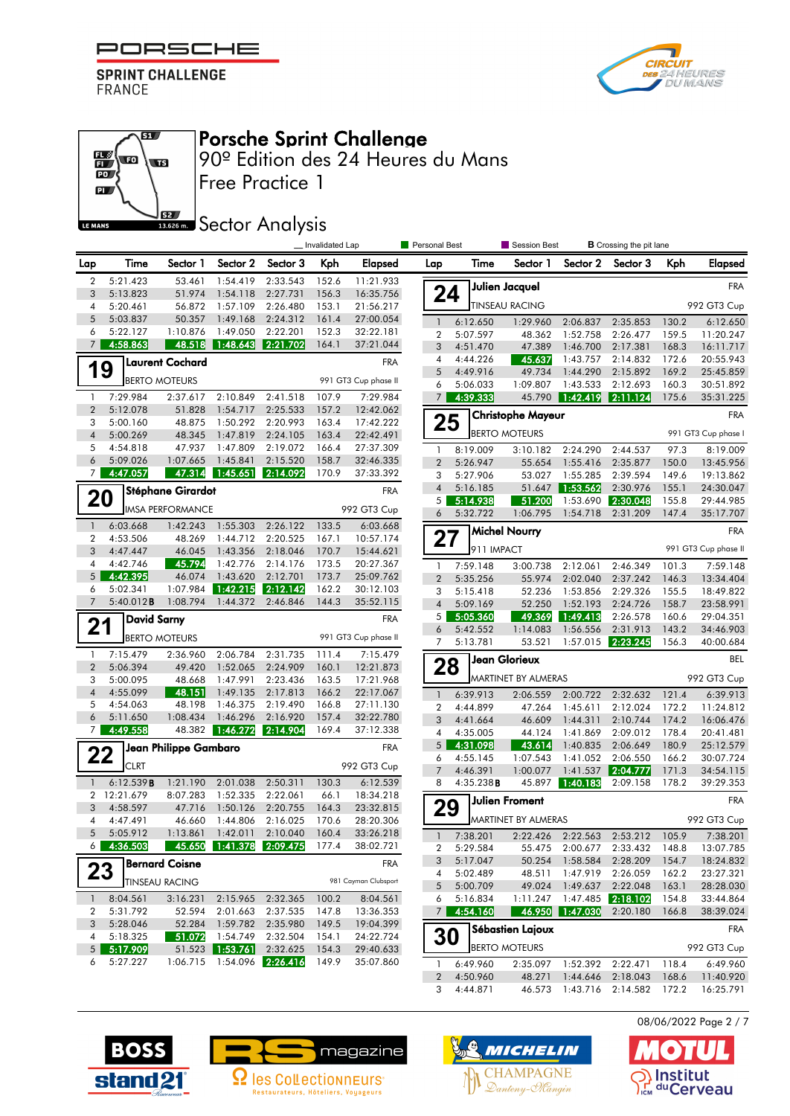

67

**WB** 

62

 $\mathbb{E}\left($  to

 $\mathbf{D}$  $\mathbf{p}$ 

LE MANS



# Porsche Sprint Challenge

Free Practice 1 90º Edition des 24 Heures du Mans

#### **SECOLOGY Analysis**

|                     |                          |                          |                      |                            | _ Invalidated Lap |                        | Personal Best                  |                      | Session Best             |                      | <b>B</b> Crossing the pit lane   |                |                       |
|---------------------|--------------------------|--------------------------|----------------------|----------------------------|-------------------|------------------------|--------------------------------|----------------------|--------------------------|----------------------|----------------------------------|----------------|-----------------------|
| Lap                 | Time                     | Sector 1                 | Sector 2             | Sector 3                   | Kph               | Elapsed                | Lap                            | Time                 | Sector 1                 | Sector 2             | Sector 3                         | Kph            | <b>Elapsed</b>        |
| $\overline{2}$      | 5:21.423                 | 53.461                   | 1:54.419             | 2:33.543                   | 152.6             | 11:21.933              |                                |                      | <b>Julien Jacquel</b>    |                      |                                  |                | <b>FRA</b>            |
| 3<br>4              | 5:13.823<br>5:20.461     | 51.974<br>56.872         | 1:54.118<br>1:57.109 | 2:27.731<br>2:26.480       | 156.3<br>153.1    | 16:35.756<br>21:56.217 | 24                             |                      | <b>TINSEAU RACING</b>    |                      |                                  |                | 992 GT3 Cup           |
| 5                   | 5:03.837                 | 50.357                   | 1:49.168             | 2:24.312                   | 161.4             | 27:00.054              | $\mathbf{1}$                   |                      |                          |                      |                                  |                |                       |
| 6                   | 5:22.127                 | 1:10.876                 | 1:49.050             | 2:22.201                   | 152.3             | 32:22.181              | $\overline{2}$                 | 6:12.650<br>5:07.597 | 1:29.960<br>48.362       | 2:06.837<br>1:52.758 | 2:35.853<br>2:26.477             | 130.2<br>159.5 | 6:12.650<br>11:20.247 |
| 7                   | 4:58.863                 | 48.518                   | 1:48.643             | 2:21.702                   | 164.1             | 37:21.044              | 3                              | 4:51.470             | 47.389                   | 1:46.700             | 2:17.381                         | 168.3          | 16:11.717             |
|                     |                          | <b>Laurent Cochard</b>   |                      |                            |                   | <b>FRA</b>             | 4                              | 4:44.226             | 45.637                   | 1:43.757             | 2:14.832                         | 172.6          | 20:55.943             |
| 19                  |                          |                          |                      |                            |                   |                        | 5                              | 4:49.916             | 49.734                   | 1:44.290             | 2:15.892                         | 169.2          | 25:45.859             |
|                     |                          | <b>BERTO MOTEURS</b>     |                      |                            |                   | 991 GT3 Cup phase II   | 6                              | 5:06.033             | 1:09.807                 | 1:43.533             | 2:12.693                         | 160.3          | 30:51.892             |
| $\mathbf{1}$        | 7:29.984                 | 2:37.617                 | 2:10.849             | 2:41.518                   | 107.9             | 7:29.984               | $7\overline{ }$                | 4:39.333             |                          | 45.790 1:42.419      | 2:11.124                         | 175.6          | 35:31.225             |
| $\overline{2}$      | 5:12.078                 | 51.828                   | 1:54.717             | 2:25.533                   | 157.2             | 12:42.062              |                                |                      | <b>Christophe Mayeur</b> |                      |                                  |                | <b>FRA</b>            |
| 3<br>$\overline{4}$ | 5:00.160<br>5:00.269     | 48.875<br>48.345         | 1:50.292<br>1:47.819 | 2:20.993<br>2:24.105       | 163.4<br>163.4    | 17:42.222<br>22:42.491 | 25                             |                      | <b>BERTO MOTEURS</b>     |                      |                                  |                | 991 GT3 Cup phase I   |
| 5                   | 4:54.818                 | 47.937                   | 1:47.809             | 2:19.072                   | 166.4             | 27:37.309              | 1                              | 8:19.009             |                          |                      |                                  |                |                       |
| 6                   | 5:09.026                 | 1:07.665                 | 1:45.841             | 2:15.520                   | 158.7             | 32:46.335              | $\overline{2}$                 | 5:26.947             | 3:10.182<br>55.654       | 2:24.290<br>1:55.416 | 2:44.537<br>2:35.877             | 97.3<br>150.0  | 8:19.009<br>13:45.956 |
| 7 <sup>1</sup>      | 4:47.057                 | 47.314                   | 1:45.651             | 2:14.092                   | 170.9             | 37:33.392              | 3                              | 5:27.906             | 53.027                   | 1:55.285             | 2:39.594                         | 149.6          | 19:13.862             |
|                     |                          | <b>Stéphane Girardot</b> |                      |                            |                   | <b>FRA</b>             | $\overline{4}$                 | 5:16.185             | 51.647                   | 1:53.562             | 2:30.976                         | 155.1          | 24:30.047             |
| 20                  |                          |                          |                      |                            |                   |                        | 5                              | 5:14.938             | 51.200                   | 1:53.690             | 2:30.048                         | 155.8          | 29:44.985             |
|                     |                          | <b>IMSA PERFORMANCE</b>  |                      |                            |                   | 992 GT3 Cup            | 6                              | 5:32.722             | 1:06.795                 | 1:54.718             | 2:31.209                         | 147.4          | 35:17.707             |
| $\overline{1}$      | 6:03.668                 | 1:42.243                 | 1:55.303             | 2:26.122                   | 133.5             | 6:03.668               |                                |                      | <b>Michel Nourry</b>     |                      |                                  |                | <b>FRA</b>            |
| $\boldsymbol{2}$    | 4:53.506                 | 48.269                   | 1:44.712             | 2:20.525                   | 167.1             | 10:57.174              | 27                             | 911 IMPACT           |                          |                      |                                  |                | 991 GT3 Cup phase II  |
| 3<br>4              | 4:47.447<br>4:42.746     | 46.045<br>45.794         | 1:43.356<br>1:42.776 | 2:18.046<br>2:14.176       | 170.7<br>173.5    | 15:44.621<br>20:27.367 |                                |                      |                          |                      |                                  |                |                       |
| 5 <sup>5</sup>      | 4:42.395                 | 46.074                   | 1:43.620             | 2:12.701                   | 173.7             | 25:09.762              | $\mathbf{1}$<br>$\overline{2}$ | 7:59.148<br>5:35.256 | 3:00.738<br>55.974       | 2:12.061<br>2:02.040 | 2:46.349<br>2:37.242             | 101.3<br>146.3 | 7:59.148<br>13:34.404 |
| 6                   | 5:02.341                 | 1:07.984                 | 1:42.215             | 2:12.142                   | 162.2             | 30:12.103              | 3                              | 5:15.418             | 52.236                   | 1:53.856             | 2:29.326                         | 155.5          | 18:49.822             |
| $\overline{7}$      | 5:40.012B                | 1:08.794                 | 1:44.372             | 2:46.846                   | 144.3             | 35:52.115              | $\overline{4}$                 | 5:09.169             | 52.250                   | 1:52.193             | 2:24.726                         | 158.7          | 23:58.991             |
|                     | <b>David Sarny</b>       |                          |                      |                            |                   | <b>FRA</b>             | 5                              | 5:05.360             | 49.369                   | 1:49.413             | 2:26.578                         | 160.6          | 29:04.351             |
| 21                  |                          |                          |                      |                            |                   |                        | 6                              | 5:42.552             | 1:14.083                 | 1:56.556             | 2:31.913                         | 143.2          | 34:46.903             |
|                     |                          | <b>BERTO MOTEURS</b>     |                      |                            |                   | 991 GT3 Cup phase II   | 7                              | 5:13.781             | 53.521                   | 1:57.015             | 2:23.245                         | 156.3          | 40:00.684             |
| $\mathbf{1}$        | 7:15.479                 | 2:36.960                 | 2:06.784             | 2:31.735                   | 111.4             | 7:15.479               |                                |                      | <b>Jean Glorieux</b>     |                      |                                  |                | <b>BEL</b>            |
| $\overline{2}$<br>3 | 5:06.394<br>5:00.095     | 49.420<br>48.668         | 1:52.065<br>1:47.991 | 2:24.909<br>2:23.436       | 160.1<br>163.5    | 12:21.873<br>17:21.968 | 28                             |                      | MARTINET BY ALMERAS      |                      |                                  |                | 992 GT3 Cup           |
| $\overline{4}$      | 4:55.099                 | 48.151                   | 1:49.135             | 2:17.813                   | 166.2             | 22:17.067              | $\overline{1}$                 | 6:39.913             | 2:06.559                 | 2:00.722             | 2:32.632                         | 121.4          | 6:39.913              |
| 5                   | 4:54.063                 | 48.198                   | 1:46.375             | 2:19.490                   | 166.8             | 27:11.130              | $\overline{2}$                 | 4:44.899             | 47.264                   | 1:45.611             | 2:12.024                         | 172.2          | 11:24.812             |
| 6                   | 5:11.650                 | 1:08.434                 | 1:46.296             | 2:16.920                   | 157.4             | 32:22.780              | 3                              | 4:41.664             | 46.609                   | 1:44.311             | 2:10.744                         | 174.2          | 16:06.476             |
| $\overline{7}$      | 4:49.558                 | 48.382                   | 1:46.272             | 2:14.904                   | 169.4             | 37:12.338              | 4                              | 4:35.005             | 44.124                   | 1:41.869             | 2:09.012                         | 178.4          | 20:41.481             |
|                     |                          | Jean Philippe Gambaro    |                      |                            |                   | <b>FRA</b>             | 5                              | 4:31.098             | 43.614                   | 1:40.835             | 2:06.649                         | 180.9          | 25:12.579             |
| 22                  | <b>CLRT</b>              |                          |                      |                            |                   | 992 GT3 Cup            | 6                              | 4:55.145             | 1:07.543                 | 1:41.052             | 2:06.550                         | 166.2          | 30:07.724             |
|                     |                          |                          |                      |                            |                   |                        |                                | 4:46.391             | 1:00.077                 | 1:41.537             | 2:04.777                         | 171.3          | 34:54.115             |
| $\overline{1}$      | 6:12.539B<br>2 12:21.679 | 1:21.190<br>8:07.283     | 2:01.038<br>1:52.335 | 2:50.311<br>2:22.061       | 130.3<br>66.1     | 6:12.539<br>18:34.218  | 8                              | 4:35.238B            | 45.897                   | 1:40.183             | 2:09.158                         | 178.2          | 39:29.353             |
| 3                   | 4:58.597                 | 47.716                   | 1:50.126             | 2:20.755                   | 164.3             | 23:32.815              | 29                             |                      | Julien Froment           |                      |                                  |                | <b>FRA</b>            |
| 4                   | 4:47.491                 | 46.660                   | 1:44.806             | 2:16.025                   | 170.6             | 28:20.306              |                                |                      | MARTINET BY ALMERAS      |                      |                                  |                | 992 GT3 Cup           |
| 5                   | 5:05.912                 | 1:13.861                 | 1:42.011             | 2:10.040                   | 160.4             | 33:26.218              | $\overline{1}$                 | 7:38.201             |                          |                      | 2:22.426 2:22.563 2:53.212 105.9 |                | 7:38.201              |
| 6                   | 4:36.503                 | 45.650                   |                      | 1:41.378 2:09.475          | 177.4             | 38:02.721              | 2                              | 5:29.584             |                          |                      | 55.475 2:00.677 2:33.432         | 148.8          | 13:07.785             |
|                     |                          | <b>Bernard Coisne</b>    |                      |                            |                   | <b>FRA</b>             | 3                              | 5:17.047             | 50.254                   | 1:58.584             | 2:28.209                         | 154.7          | 18:24.832             |
| 23                  |                          | <b>TINSEAU RACING</b>    |                      |                            |                   | 981 Cayman Clubsport   | 4                              | 5:02.489             | 48.511                   | 1:47.919             | 2:26.059                         | 162.2          | 23:27.321             |
|                     |                          |                          |                      |                            |                   |                        | 5                              | 5:00.709             | 49.024                   | 1:49.637             | 2:22.048                         | 163.1          | 28:28.030             |
| $\mathbf{1}$        | 8:04.561                 | 3:16.231                 | 2:15.965             | 2:32.365                   | 100.2             | 8:04.561               | 6                              | 5:16.834             | 1:11.247                 | 1:47.485             | 2:18.102                         | 154.8          | 33:44.864             |
| 2<br>3              | 5:31.792<br>5:28.046     | 52.594<br>52.284         | 2:01.663<br>1:59.782 | 2:37.535<br>2:35.980       | 147.8<br>149.5    | 13:36.353<br>19:04.399 | 7 <sup>1</sup>                 | 4:54.160             | 46.950                   | 1:47.030             | 2:20.180                         | 166.8          | 38:39.024             |
| 4                   | 5:18.325                 | 51.072                   | 1:54.749             | 2:32.504                   | 154.1             | 24:22.724              | <b>30</b>                      |                      | Sébastien Lajoux         |                      |                                  |                | <b>FRA</b>            |
| 5 <sup>1</sup>      | 5:17.909                 |                          | 51.523 1:53.761      | 2:32.625                   | 154.3             | 29:40.633              |                                |                      | <b>BERTO MOTEURS</b>     |                      |                                  |                | 992 GT3 Cup           |
| 6                   | 5:27.227                 |                          |                      | 1:06.715 1:54.096 2:26.416 | 149.9             | 35:07.860              | $\mathbf{1}$                   | 6:49.960             |                          |                      | 2:35.097 1:52.392 2:22.471       | 118.4          | 6:49.960              |
|                     |                          |                          |                      |                            |                   |                        | $\overline{2}$                 | 4:50.960             | 48.271                   |                      | 1:44.646 2:18.043                | 168.6          | 11:40.920             |







3 4:44.871 46.573 1:43.716 2:14.582 172.2 16:25.791

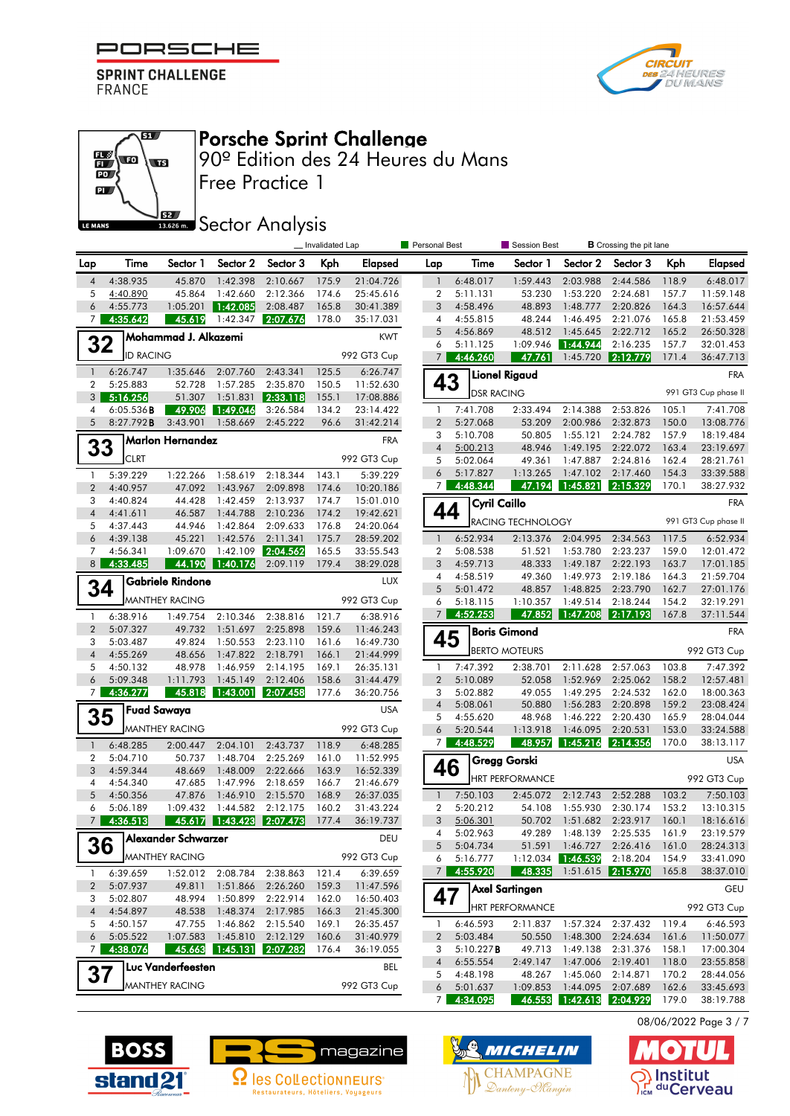

எ

 $\overline{\mathbf{w}}$ 

62

 $\mathbb{E}\left( \mathbf{r}\right)$ 

 $\overline{\mathbf{D}}$  $\mathbf{p}$ 

LE MANS



# Porsche Sprint Challenge

Free Practice 1 90º Edition des 24 Heures du Mans

## **SECOLOGY** Analysis

|                                |                      |                       | Session Best<br>_ Invalidated Lap<br>Personal Best<br><b>B</b> Crossing the pit lane |                      |                |                        |                     |                      |                        |                      |                               |                |                        |
|--------------------------------|----------------------|-----------------------|--------------------------------------------------------------------------------------|----------------------|----------------|------------------------|---------------------|----------------------|------------------------|----------------------|-------------------------------|----------------|------------------------|
| Lap                            | Time                 | Sector 1              | Sector 2                                                                             | Sector 3             | Kph            | Elapsed                | Lap                 | Time                 | Sector 1               | Sector 2             | Sector 3                      | Kph            | <b>Elapsed</b>         |
| $\overline{4}$                 | 4:38.935             | 45.870                | 1:42.398                                                                             | 2:10.667             | 175.9          | 21:04.726              | $\overline{1}$      | 6:48.017             | 1:59.443               | 2:03.988             | 2:44.586                      | 118.9          | 6:48.017               |
| 5                              | 4:40.890             | 45.864                | 1:42.660                                                                             | 2:12.366             | 174.6          | 25:45.616              | $\overline{2}$      | 5:11.131             | 53.230                 | 1:53.220             | 2:24.681                      | 157.7          | 11:59.148              |
| 6                              | 4:55.773             | 1:05.201              | 1:42.085                                                                             | 2:08.487             | 165.8          | 30:41.389              | 3                   | 4:58.496             | 48.893                 | 1:48.777             | 2:20.826                      | 164.3          | 16:57.644              |
| 7 <sup>1</sup>                 | 4:35.642             | 45.619                | 1:42.347                                                                             | 2:07.676             | 178.0          | 35:17.031              | 4                   | 4:55.815             | 48.244                 | 1:46.495             | 2:21.076                      | 165.8          | 21:53.459              |
| 32                             |                      | Mohammad J. Alkazemi  |                                                                                      |                      |                | <b>KWT</b>             | 5<br>6              | 4:56.869<br>5:11.125 | 48.512<br>1:09.946     | 1:45.645<br>1:44.944 | 2:22.712<br>2:16.235          | 165.2<br>157.7 | 26:50.328<br>32:01.453 |
|                                | <b>ID RACING</b>     |                       |                                                                                      |                      |                | 992 GT3 Cup            | $7^{\circ}$         | 4:46.260             | 47.761                 | 1:45.720             | 2:12.779                      | 171.4          | 36:47.713              |
| $\mathbf{1}$                   | 6:26.747             | 1:35.646              | 2:07.760                                                                             | 2:43.341             | 125.5          | 6:26.747               |                     |                      |                        |                      |                               |                |                        |
| 2                              | 5:25.883             | 52.728                | 1:57.285                                                                             | 2:35.870             | 150.5          | 11:52.630              | 43                  |                      | <b>Lionel Rigaud</b>   |                      |                               |                | <b>FRA</b>             |
| 3 <sup>1</sup>                 | 5:16.256             | 51.307                | 1:51.831                                                                             | 2:33.118             | 155.1          | 17:08.886              |                     | <b>DSR RACING</b>    |                        |                      |                               |                | 991 GT3 Cup phase II   |
| 4                              | 6:05.536B            | 49.906                | 1:49.046                                                                             | 3:26.584             | 134.2          | 23:14.422              | -1                  | 7:41.708             | 2:33.494               | 2:14.388             | 2:53.826                      | 105.1          | 7:41.708               |
| 5                              | 8:27.792B            | 3:43.901              | 1:58.669                                                                             | 2:45.222             | 96.6           | 31:42.214              | $\overline{2}$      | 5:27.068             | 53.209                 | 2:00.986             | 2:32.873                      | 150.0          | 13:08.776              |
|                                |                      | Marlon Hernandez      |                                                                                      |                      |                | <b>FRA</b>             | 3                   | 5:10.708             | 50.805                 | 1:55.121             | 2:24.782                      | 157.9          | 18:19.484              |
| 33                             | <b>CLRT</b>          |                       |                                                                                      |                      |                | 992 GT3 Cup            | $\overline{4}$<br>5 | 5:00.213<br>5:02.064 | 48.946<br>49.361       | 1:49.195<br>1:47.887 | 2:22.072<br>2:24.816          | 163.4<br>162.4 | 23:19.697<br>28:21.761 |
| $\mathbf{1}$                   | 5:39.229             | 1:22.266              | 1:58.619                                                                             | 2:18.344             | 143.1          | 5:39.229               | 6                   | 5:17.827             | 1:13.265               | 1:47.102             | 2:17.460                      | 154.3          | 33:39.588              |
| $\overline{2}$                 | 4:40.957             | 47.092                | 1:43.967                                                                             | 2:09.898             | 174.6          | 10:20.186              | 7                   | 4:48.344             | 47.194                 | 1:45.821             | 2:15.329                      | 170.1          | 38:27.932              |
| 3                              | 4:40.824             | 44.428                | 1:42.459                                                                             | 2:13.937             | 174.7          | 15:01.010              |                     | <b>Cyril Caillo</b>  |                        |                      |                               |                | <b>FRA</b>             |
| $\overline{4}$                 | 4:41.611             | 46.587                | 1:44.788                                                                             | 2:10.236             | 174.2          | 19:42.621              | 44                  |                      |                        |                      |                               |                |                        |
| 5                              | 4:37.443             | 44.946                | 1:42.864                                                                             | 2:09.633             | 176.8          | 24:20.064              |                     |                      | RACING TECHNOLOGY      |                      |                               |                | 991 GT3 Cup phase II   |
| 6                              | 4:39.138             | 45.221                | 1:42.576                                                                             | 2:11.341             | 175.7          | 28:59.202              | -1                  | 6:52.934             | 2:13.376               | 2:04.995             | 2:34.563                      | 117.5          | 6:52.934               |
| 7<br>8 <sup>1</sup>            | 4:56.341<br>4:33.485 | 1:09.670<br>44.190    | 1:42.109                                                                             | 2:04.562             | 165.5<br>179.4 | 33:55.543<br>38:29.028 | $\overline{2}$<br>3 | 5:08.538<br>4:59.713 | 51.521<br>48.333       | 1:53.780<br>1:49.187 | 2:23.237<br>2:22.193          | 159.0<br>163.7 | 12:01.472              |
|                                |                      |                       | ∥ 1:40.176∣                                                                          | 2:09.119             |                |                        | 4                   | 4:58.519             | 49.360                 | 1:49.973             | 2:19.186                      | 164.3          | 17:01.185<br>21:59.704 |
| 34                             |                      | Gabriele Rindone      |                                                                                      |                      |                | <b>LUX</b>             | 5                   | 5:01.472             | 48.857                 | 1:48.825             | 2:23.790                      | 162.7          | 27:01.176              |
|                                |                      | <b>MANTHEY RACING</b> |                                                                                      |                      |                | 992 GT3 Cup            | 6                   | 5:18.115             | 1:10.357               | 1:49.514             | 2:18.244                      | 154.2          | 32:19.291              |
| $\mathbf{1}$                   | 6:38.916             | 1:49.754              | 2:10.346                                                                             | 2:38.816             | 121.7          | 6:38.916               | $7\overline{ }$     | 4:52.253             | 47.852                 | 1:47.208             | 2:17.193                      | 167.8          | 37:11.544              |
| $\overline{2}$                 | 5:07.327             | 49.732                | 1:51.697                                                                             | 2:25.898             | 159.6          | 11:46.243              |                     |                      | <b>Boris Gimond</b>    |                      |                               |                | <b>FRA</b>             |
| 3                              | 5:03.487             | 49.824                | 1:50.553                                                                             | 2:23.110             | 161.6          | 16:49.730              | 45                  |                      | <b>BERTO MOTEURS</b>   |                      |                               |                | 992 GT3 Cup            |
| $\sqrt{4}$                     | 4:55.269             | 48.656                | 1:47.822                                                                             | 2:18.791             | 166.1          | 21:44.999              |                     |                      |                        |                      |                               |                |                        |
| 5<br>6                         | 4:50.132<br>5:09.348 | 48.978<br>1:11.793    | 1:46.959<br>1:45.149                                                                 | 2:14.195<br>2:12.406 | 169.1<br>158.6 | 26:35.131<br>31:44.479 | 1<br>$\overline{2}$ | 7:47.392<br>5:10.089 | 2:38.701<br>52.058     | 2:11.628<br>1:52.969 | 2:57.063<br>2:25.062          | 103.8<br>158.2 | 7:47.392<br>12:57.481  |
| 7 <sup>1</sup>                 | 4:36.277             | 45.818                | 1:43.001                                                                             | 2:07.458             | 177.6          | 36:20.756              | 3                   | 5:02.882             | 49.055                 | 1:49.295             | 2:24.532                      | 162.0          | 18:00.363              |
|                                |                      | <b>Fuad Sawaya</b>    |                                                                                      |                      |                | <b>USA</b>             | $\overline{4}$      | 5:08.061             | 50.880                 | 1:56.283             | 2:20.898                      | 159.2          | 23:08.424              |
| 35                             |                      |                       |                                                                                      |                      |                |                        | 5                   | 4:55.620             | 48.968                 | 1:46.222             | 2:20.430                      | 165.9          | 28:04.044              |
|                                |                      | <b>MANTHEY RACING</b> |                                                                                      |                      |                | 992 GT3 Cup            | 6                   | 5:20.544             | 1:13.918               | 1:46.095             | 2:20.531                      | 153.0          | 33:24.588              |
| $\mathbf{1}$                   | 6:48.285             | 2:00.447              | 2:04.101                                                                             | 2:43.737             | 118.9          | 6:48.285               | $\overline{7}$      | 4:48.529             | 48.957                 | 1:45.216             | 2:14.356                      | 170.0          | 38:13.117              |
| $\boldsymbol{2}$               | 5:04.710             | 50.737                | 1:48.704                                                                             | 2:25.269             | 161.0          | 11:52.995              | 46                  |                      | Gregg Gorski           |                      |                               |                | <b>USA</b>             |
| 3<br>$\overline{4}$            | 4:59.344<br>4:54.340 | 48.669<br>47.685      | 1:48.009<br>1:47.996                                                                 | 2:22.666<br>2:18.659 | 163.9<br>166.7 | 16:52.339<br>21:46.679 |                     |                      | <b>HRT PERFORMANCE</b> |                      |                               |                | 992 GT3 Cup            |
| 5                              | 4:50.356             | 47.876                | 1:46.910                                                                             | 2:15.570             | 168.9          | 26:37.035              | $\overline{1}$      | 7:50.103             | 2:45.072               | 2:12.743             | 2:52.288                      | 103.2          | 7:50.103               |
| 6                              | 5:06.189             | 1:09.432              | 1:44.582                                                                             | 2:12.175             | 160.2          | 31:43.224              | $\overline{2}$      | 5:20.212             | 54.108                 | 1:55.930             | 2:30.174                      | 153.2          | 13:10.315              |
| 7 <sup>1</sup>                 | 4:36.513             | 45.617                | 1:43.423                                                                             | 2:07.473             | 177.4          | 36:19.737              | 3                   | 5:06.301             | 50.702                 | 1:51.682             | 2:23.917                      | 160.1          | 18:16.616              |
|                                |                      | ヿAlexander Schwarzer  |                                                                                      |                      |                | DEU                    | 4                   | 5:02.963             | 49.289                 | 1:48.139             | 2:25.535                      | 161.9          | 23:19.579              |
| 36                             |                      |                       |                                                                                      |                      |                |                        | 5                   | 5:04.734             | 51.591                 | 1:46.727             | 2:26.416                      | 161.0          | 28:24.313              |
|                                |                      | MANTHEY RACING        |                                                                                      |                      |                | 992 GT3 Cup            | 6<br>7 <sup>1</sup> | 5:16.777<br>4:55.920 | 1:12.034<br>48.335     | 1:46.539             | 2:18.204<br>1:51.615 2:15.970 | 154.9<br>165.8 | 33:41.090<br>38:37.010 |
| $\mathbf{1}$<br>$\overline{2}$ | 6:39.659<br>5:07.937 | 1:52.012<br>49.811    | 2:08.784<br>1:51.866                                                                 | 2:38.863<br>2:26.260 | 121.4<br>159.3 | 6:39.659<br>11:47.596  |                     |                      |                        |                      |                               |                |                        |
| 3                              | 5:02.807             | 48.994                | 1:50.899                                                                             | 2:22.914             | 162.0          | 16:50.403              | 47                  |                      | Axel Sartingen         |                      |                               |                | <b>GEU</b>             |
| $\sqrt{4}$                     | 4:54.897             | 48.538                | 1:48.374                                                                             | 2:17.985             | 166.3          | 21:45.300              |                     |                      | <b>HRT PERFORMANCE</b> |                      |                               |                | 992 GT3 Cup            |
| 5                              | 4:50.157             | 47.755                | 1:46.862                                                                             | 2:15.540             | 169.1          | 26:35.457              | $\mathbf{1}$        | 6:46.593             | 2:11.837               | 1:57.324             | 2:37.432                      | 119.4          | 6:46.593               |
| 6                              | 5:05.522             | 1:07.583              | 1:45.810                                                                             | 2:12.129             | 160.6          | 31:40.979              | $\mathbf{2}$        | 5:03.484             | 50.550                 | 1:48.300             | 2:24.634                      | 161.6          | 11:50.077              |
| 7 <sup>1</sup>                 | 4:38.076             | 45.663                | 1:45.131                                                                             | 2:07.282             | 176.4          | 36:19.055              | 3                   | 5:10.227B            | 49.713                 | 1:49.138             | 2:31.376                      | 158.1          | 17:00.304              |
|                                |                      | Luc Vanderfeesten     |                                                                                      |                      |                | BEL                    | 4                   | 6:55.554<br>4:48.198 | 2:49.147<br>48.267     | 1:47.006             | 2:19.401                      | 118.0          | 23:55.858              |
| 37                             |                      | <b>MANTHEY RACING</b> |                                                                                      |                      |                | 992 GT3 Cup            | 5<br>6              | 5:01.637             | 1:09.853               | 1:45.060             | 2:14.871<br>1:44.095 2:07.689 | 170.2<br>162.6 | 28:44.056<br>33:45.693 |
|                                |                      |                       |                                                                                      |                      |                |                        | 7                   | 4:34.095             |                        |                      | 46.553 1:42.613 2:04.929      | 179.0          | 38:19.788              |







08/06/2022 Page 3 / 7

 $\bullet$  $\mathbf{A}$ 

nstitut S<sub>ICM</sub> du Cerveau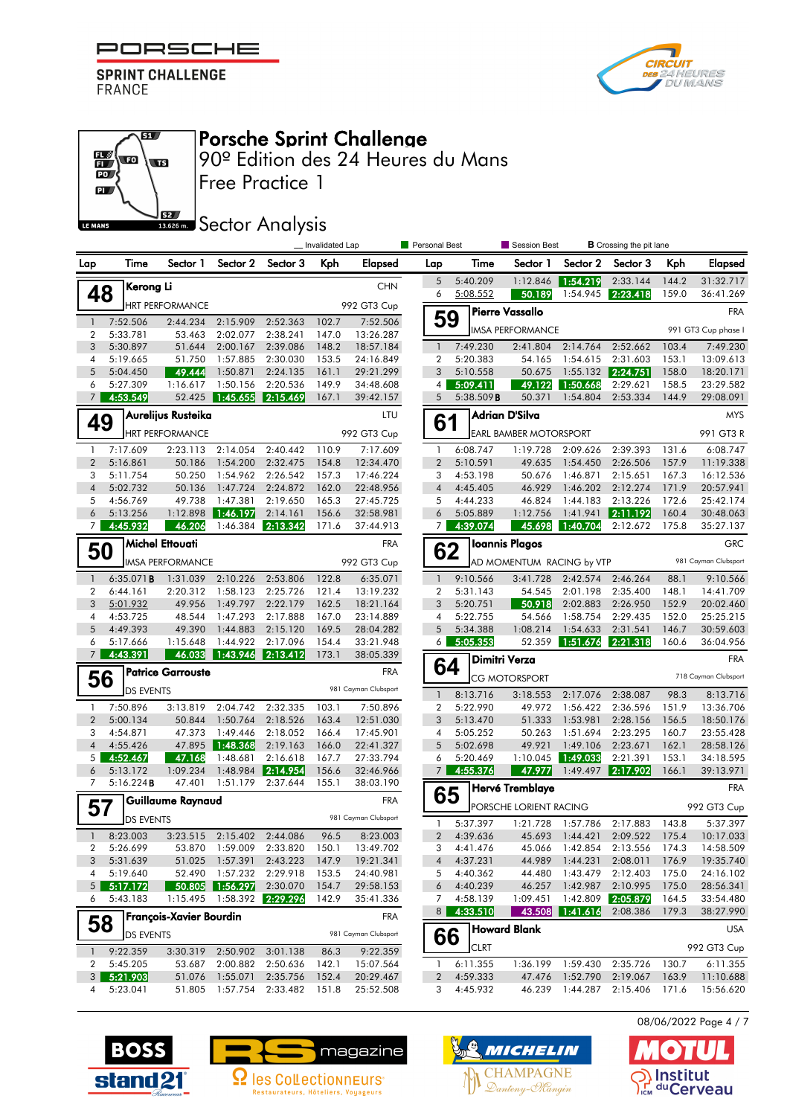

67

**STE** 

62

 $\mathbb{E}\left( \mathbf{r}\right)$ 

 $\overline{\mathbb{D}}$  $\mathbf{p}$ 

LE MANS



# Porsche Sprint Challenge

Free Practice 1 90º Edition des 24 Heures du Mans

**SECTOR** Sector Analysis

|                      |                      |                          |                            |                      | Invalidated Lap |                                    | <b>Personal Best</b>    |                       | Session Best                  |                        | <b>B</b> Crossing the pit lane |                |                          |
|----------------------|----------------------|--------------------------|----------------------------|----------------------|-----------------|------------------------------------|-------------------------|-----------------------|-------------------------------|------------------------|--------------------------------|----------------|--------------------------|
| Lap                  | Time                 | Sector 1                 | Sector 2                   | Sector 3             | Kph             | <b>Elapsed</b>                     | Lap                     | Time                  | Sector 1                      | Sector 2               | Sector 3                       | Kph            | <b>Elapsed</b>           |
|                      | Kerong Li            |                          |                            |                      |                 | <b>CHN</b>                         | 5                       | 5:40.209              | 1:12.846                      | 1:54.219               | 2:33.144                       | 144.2          | 31:32.717                |
| 48                   |                      | <b>HRT PERFORMANCE</b>   |                            |                      |                 | 992 GT3 Cup                        | 6                       | 5:08.552              | 50.189                        | 1:54.945               | 2:23.418                       | 159.0          | 36:41.269                |
| $\mathbf{1}$         | 7:52.506             | 2:44.234                 | 2:15.909                   | 2:52.363             | 102.7           | 7:52.506                           | 59                      |                       | Pierre Vassallo               |                        |                                |                | <b>FRA</b>               |
| 2                    | 5:33.781             | 53.463                   | 2:02.077                   | 2:38.241             | 147.0           | 13:26.287                          |                         |                       | <b>IMSA PERFORMANCE</b>       |                        |                                |                | 991 GT3 Cup phase I      |
| 3                    | 5:30.897             | 51.644                   | 2:00.167                   | 2:39.086             | 148.2           | 18:57.184                          | $\mathbf{1}$            | 7:49.230              | 2:41.804                      | 2:14.764               | 2:52.662                       | 103.4          | 7:49.230                 |
| 4                    | 5:19.665             | 51.750                   | 1:57.885                   | 2:30.030             | 153.5           | 24:16.849                          | $\overline{2}$          | 5:20.383              | 54.165                        | 1:54.615               | 2:31.603                       | 153.1          | 13:09.613                |
| 5                    | 5:04.450             | 49.444                   | 1:50.871                   | 2:24.135             | 161.1           | 29:21.299                          | 3                       | 5:10.558              | 50.675                        | 1:55.132               | 2:24.751                       | 158.0          | 18:20.171                |
| 6<br>$\overline{7}$  | 5:27.309<br>4:53.549 | 1:16.617<br>52.425       | 1:50.156<br>1:45.655       | 2:20.536<br>2:15.469 | 149.9<br>167.1  | 34:48.608<br>39:42.157             | 4<br>5                  | 5:09.411<br>5:38.509B | 49.122<br>50.371              | 1:50.668<br>1:54.804   | 2:29.621<br>2:53.334           | 158.5<br>144.9 | 23:29.582<br>29:08.091   |
|                      |                      |                          |                            |                      |                 |                                    |                         |                       |                               |                        |                                |                |                          |
| 49                   |                      | Aurelijus Rusteika       |                            |                      |                 | LTU                                | 61                      |                       | <b>Adrian D'Silva</b>         |                        |                                |                | MYS                      |
|                      |                      | <b>HRT PERFORMANCE</b>   |                            |                      |                 | 992 GT3 Cup                        |                         |                       | <b>EARL BAMBER MOTORSPORT</b> |                        |                                |                | 991 GT3 R                |
| 1                    | 7:17.609             | 2:23.113                 | 2:14.054                   | 2:40.442             | 110.9           | 7:17.609                           | 1                       | 6:08.747              | 1:19.728                      | 2:09.626               | 2:39.393                       | 131.6          | 6:08.747                 |
| $\overline{2}$       | 5:16.861             | 50.186                   | 1:54.200                   | 2:32.475             | 154.8           | 12:34.470                          | $\overline{2}$          | 5:10.591              | 49.635                        | 1:54.450               | 2:26.506                       | 157.9          | 11:19.338                |
| 3<br>$\overline{4}$  | 5:11.754<br>5:02.732 | 50.250<br>50.136         | 1:54.962<br>1:47.724       | 2:26.542<br>2:24.872 | 157.3<br>162.0  | 17:46.224                          | 3<br>$\sqrt{4}$         | 4:53.198<br>4:45.405  | 50.676<br>46.929              | 1:46.871<br>1:46.202   | 2:15.651<br>2:12.274           | 167.3<br>171.9 | 16:12.536                |
| 5                    | 4:56.769             | 49.738                   | 1:47.381                   | 2:19.650             | 165.3           | 22:48.956<br>27:45.725             | 5                       | 4:44.233              | 46.824                        | 1:44.183               | 2:13.226                       | 172.6          | 20:57.941<br>25:42.174   |
| 6                    | 5:13.256             | 1:12.898                 | <u>1:46.197</u>            | 2:14.161             | 156.6           | 32:58.981                          | 6                       | 5:05.889              | 1:12.756                      | 1:41.941               | 2:11.192                       | 160.4          | 30:48.063                |
| $\overline{7}$       | 4:45.932             | 46.206                   | 1:46.384                   | 2:13.342             | 171.6           | 37:44.913                          | $\overline{7}$          | 4:39.074              | 45.698                        | 1:40.704               | 2:12.672                       | 175.8          | 35:27.137                |
|                      |                      | Michel Ettouati          |                            |                      |                 | <b>FRA</b>                         |                         |                       | <b>Ioannis Plagos</b>         |                        |                                |                | <b>GRC</b>               |
| 50                   |                      | <b>IMSA PERFORMANCE</b>  |                            |                      |                 | 992 GT3 Cup                        | 62                      |                       | AD MOMENTUM RACING by VTP     |                        |                                |                | 981 Cayman Clubsport     |
| $\mathbf{1}$         | 6:35.071B            | 1:31.039                 | 2:10.226                   | 2:53.806             | 122.8           | 6:35.071                           | $\mathbf{1}$            | 9:10.566              | 3:41.728                      | 2:42.574               | 2:46.264                       | 88.1           | 9:10.566                 |
| 2                    | 6:44.161             | 2:20.312                 | 1:58.123                   | 2:25.726             | 121.4           | 13:19.232                          | 2                       | 5:31.143              | 54.545                        | 2:01.198               | 2:35.400                       | 148.1          | 14:41.709                |
| 3                    | 5:01.932             | 49.956                   | 1:49.797                   | 2:22.179             | 162.5           | 18:21.164                          | 3                       | 5:20.751              | 50.918                        | 2:02.883               | 2:26.950                       | 152.9          | 20:02.460                |
| 4                    | 4:53.725             | 48.544                   | 1:47.293                   | 2:17.888             | 167.0           | 23:14.889                          | 4                       | 5:22.755              | 54.566                        | 1:58.754               | 2:29.435                       | 152.0          | 25:25.215                |
| 5                    | 4:49.393             | 49.390                   | 1:44.883                   | 2:15.120             | 169.5           | 28:04.282                          | 5                       | 5:34.388              | 1:08.214                      | 1:54.633               | 2:31.541                       | 146.7          | 30:59.603                |
| 6<br>$7\overline{ }$ | 5:17.666<br>4:43.391 | 1:15.648<br>46.033       | 1:44.922<br>1:43.946       | 2:17.096<br>2:13.412 | 154.4<br>173.1  | 33:21.948<br>38:05.339             | <sup>6</sup>            | 5:05.353              | 52.359                        | 1:51.676               | 2:21.318                       | 160.6          | 36:04.956                |
|                      |                      |                          |                            |                      |                 |                                    | 64                      |                       | <b>Dimitri Verza</b>          |                        |                                |                | <b>FRA</b>               |
| 56                   |                      | <b>Patrice Garrouste</b> |                            |                      |                 | <b>FRA</b><br>981 Cayman Clubsport |                         |                       | CG MOTORSPORT                 |                        |                                |                | 718 Cayman Clubsport     |
|                      | <b>DS EVENTS</b>     |                          |                            |                      |                 |                                    | $\mathbf{1}$            | 8:13.716              | 3:18.553                      | 2:17.076               | 2:38.087                       | 98.3           | 8:13.716                 |
| $\mathbf{1}$         | 7:50.896             | 3:13.819                 | 2:04.742                   | 2:32.335             | 103.1           | 7:50.896                           | $\overline{\mathbf{2}}$ | 5:22.990              | 49.972                        | 1:56.422               | 2:36.596                       | 151.9          | 13:36.706                |
| $\overline{2}$<br>3  | 5:00.134<br>4:54.871 | 50.844<br>47.373         | 1:50.764<br>1:49.446       | 2:18.526<br>2:18.052 | 163.4<br>166.4  | 12:51.030<br>17:45.901             | 3<br>4                  | 5:13.470<br>5:05.252  | 51.333<br>50.263              | 1:53.981<br>1:51.694   | 2:28.156<br>2:23.295           | 156.5<br>160.7 | 18:50.176<br>23:55.428   |
| $\overline{4}$       | 4:55.426             | 47.895                   | 1:48.368                   | 2:19.163             | 166.0           | 22:41.327                          | 5                       | 5:02.698              | 49.921                        | 1:49.106               | 2:23.671                       | 162.1          | 28:58.126                |
| 5                    | 4:52.467             | 47.168                   | 1:48.681                   | 2:16.618             | 167.7           | 27:33.794                          | 6                       | 5:20.469              | 1:10.045                      | 1:49.033               | 2:21.391                       | 153.1          | 34:18.595                |
| 6                    | 5:13.172             | 1:09.234                 | 1:48.984                   | 2:14.954             | 156.6           | 32:46.966                          | $\overline{7}$          | 4:55.376              | 47.977                        | 1:49.497               | 2:17.902                       | 166.1          | 39:13.971                |
| 7                    | 5:16.224B            | 47.401                   | 1:51.179                   | 2:37.644             | 155.1           | 38:03.190                          |                         |                       | Hervé Tremblaye               |                        |                                |                | <b>FRA</b>               |
| 57                   |                      | Guillaume Raynaud        |                            |                      |                 | <b>FRA</b>                         | 65                      |                       | PORSCHE LORIENT RACING        |                        |                                |                | 992 GT3 Cup              |
|                      | <b>DS EVENTS</b>     |                          |                            |                      |                 | 981 Cayman Clubsport               | 1                       | 5:37.397              | 1:21.728                      | 1:57.786               | 2:17.883                       | 143.8          | 5:37.397                 |
| $\mathbf{1}$         | 8:23.003             |                          | 3:23.515 2:15.402 2:44.086 |                      | 96.5            | 8:23.003                           |                         | 2 4:39.636            |                               | 45.693 1:44.421        |                                |                | 2:09.522 175.4 10:17.033 |
| 2                    | 5:26.699             |                          | 53.870 1:59.009 2:33.820   |                      | 150.1           | 13:49.702                          | 3                       | 4:41.476              | 45.066                        | 1:42.854               | 2:13.556                       | 174.3          | 14:58.509                |
| 3                    | 5:31.639             | 51.025                   | 1:57.391                   | 2:43.223             | 147.9           | 19:21.341                          | $\overline{4}$          | 4:37.231              | 44.989                        | 1:44.231               | 2:08.011                       | 176.9          | 19:35.740                |
| 4                    | 5:19.640             | 52.490                   | 1:57.232                   | 2:29.918             | 153.5           | 24:40.981                          | 5                       | 4:40.362              | 44.480                        | 1:43.479               | 2:12.403                       | 175.0          | 24:16.102                |
| 5 <sup>1</sup>       | 5:17.172             | 50.805                   | 1:56.297                   | 2:30.070             | 154.7           | 29:58.153                          | 6                       | 4:40.239              | 46.257                        | 1:42.987               | 2:10.995                       | 175.0          | 28:56.341                |
| 6                    | 5:43.183             | 1:15.495                 | 1:58.392                   | 2:29.296             | 142.9           | 35:41.336                          | 7<br>8 <sup>1</sup>     | 4:58.139<br>4:33.510  | 1:09.451<br>43.508            | 1:42.809<br>  1:41.616 | 2:05.879<br>2:08.386           | 164.5<br>179.3 | 33:54.480<br>38:27.990   |
| 58                   |                      | François-Xavier Bourdin  |                            |                      |                 | <b>FRA</b>                         |                         |                       |                               |                        |                                |                |                          |
|                      | <b>DS EVENTS</b>     |                          |                            |                      |                 | 981 Cayman Clubsport               | 66                      |                       | <b>Howard Blank</b>           |                        |                                |                | <b>USA</b>               |
| $\mathbf{1}$         | 9:22.359             |                          | 3:30.319 2:50.902 3:01.138 |                      | 86.3            | 9:22.359                           |                         | <b>CLRT</b>           |                               |                        |                                |                | 992 GT3 Cup              |
| 2                    | 5:45.205             | 53.687                   | 2:00.882                   | 2:50.636             | 142.1           | 15:07.564                          | $\mathbf{1}$            | 6:11.355              | 1:36.199                      | 1:59.430               | 2:35.726                       | 130.7          | 6:11.355                 |
| 3                    | 5:21.903             | 51.076                   | 1:55.071                   | 2:35.756             | 152.4           | 20:29.467                          | 2                       | 4:59.333              | 47.476                        | 1:52.790               | 2:19.067                       | 163.9          | 11:10.688                |
| 4                    | 5:23.041             | 51.805                   | 1:57.754 2:33.482          |                      | 151.8           | 25:52.508                          | 3                       | 4:45.932              | 46.239                        | 1:44.287 2:15.406      |                                | 171.6          | 15:56.620                |







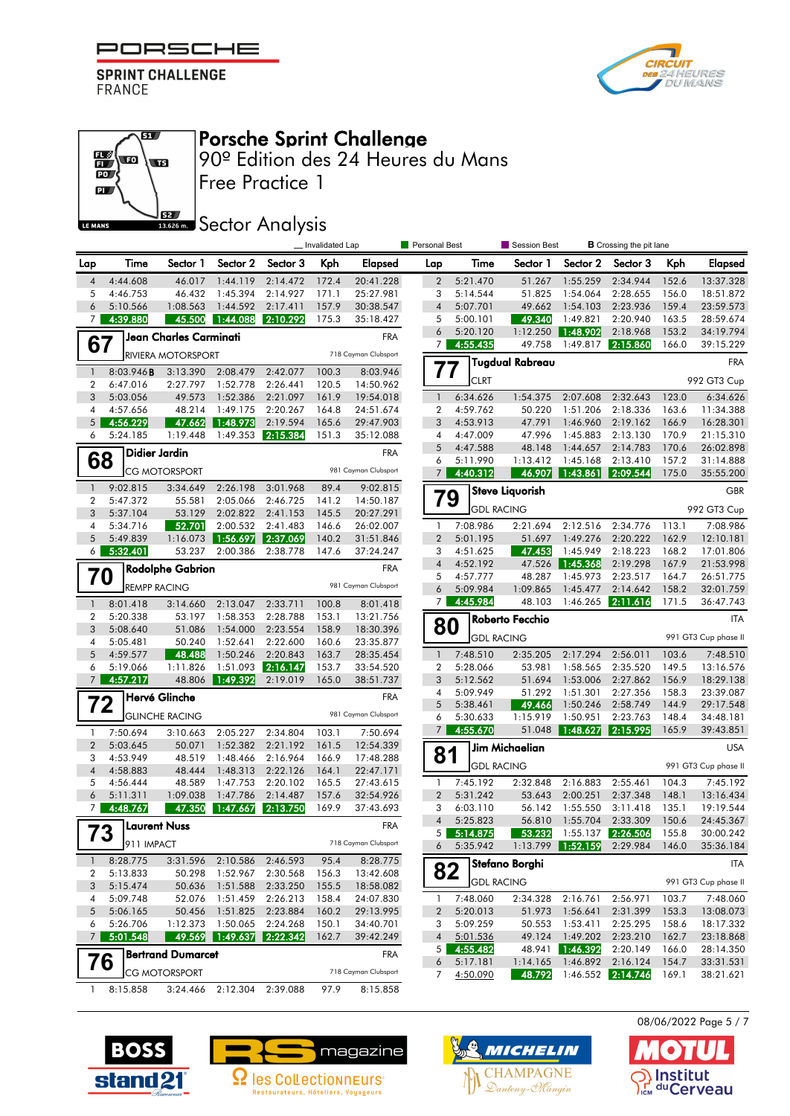#### F PORSCHE

**SPRINT CHALLENGE FRANCE** 

 $\overline{\mathbf{u}}$ 

 $\overline{\mathbf{w}}$ 

62

 $\mathbb{E}\left($  to

 $\mathbf{D}$  $\mathbf{p}$ 

LE MANS



# Porsche Sprint Challenge

Free Practice 1 90º Edition des 24 Heures du Mans

#### **SECOLOGY** Analysis

|                          |                      |                           | _ Invalidated Lap<br>Personal Best<br>Session Best<br><b>B</b> Crossing the pit lane |                       |                |                        |                     |                      |                        |                      |                               |                |                        |
|--------------------------|----------------------|---------------------------|--------------------------------------------------------------------------------------|-----------------------|----------------|------------------------|---------------------|----------------------|------------------------|----------------------|-------------------------------|----------------|------------------------|
| Lap                      | Time                 | Sector 1                  | Sector 2                                                                             | Sector 3              | Kph            | <b>Elapsed</b>         | Lap                 | Time                 | Sector 1               | Sector 2             | Sector 3                      | Kph            | Elapsed                |
| $\overline{4}$           | 4:44.608             | 46.017                    | 1:44.119                                                                             | 2:14.472              | 172.4          | 20:41.228              | $\overline{2}$      | 5:21.470             | 51.267                 | 1:55.259             | 2:34.944                      | 152.6          | 13:37.328              |
| 5                        | 4:46.753             | 46.432                    | 1:45.394                                                                             | 2:14.927              | 171.1          | 25:27.981              | 3                   | 5:14.544             | 51.825                 | 1:54.064             | 2:28.655                      | 156.0          | 18:51.872              |
| 6                        | 5:10.566             | 1:08.563                  | 1:44.592                                                                             | 2:17.411              | 157.9          | 30:38.547              | $\overline{4}$      | 5:07.701             | 49.662                 | 1:54.103             | 2:23.936                      | 159.4          | 23:59.573              |
| $7\overline{ }$          | 4:39.880             | 45.500                    | 1:44.088                                                                             | 2:10.292              | 175.3          | 35:18.427              | 5                   | 5:00.101             | 49.340                 | 1:49.821             | 2:20.940                      | 163.5          | 28:59.674              |
|                          |                      | Jean Charles Carminati    |                                                                                      |                       |                | <b>FRA</b>             | 6                   | 5:20.120             | 1:12.250               | 1:48.902             | 2:18.968                      | 153.2          | 34:19.794              |
| 67                       |                      | <b>RIVIERA MOTORSPORT</b> |                                                                                      |                       |                | 718 Cayman Clubsport   | 7                   | 4:55.435             | 49.758                 | 1:49.817             | 2:15.860                      | 166.0          | 39:15.229              |
| $\overline{\phantom{a}}$ | 8:03.946B            | 3:13.390                  | 2:08.479                                                                             | 2:42.077              | 100.3          | 8:03.946               | 77                  |                      | <b>Tugdual Rabreau</b> |                      |                               |                | <b>FRA</b>             |
| 2                        | 6:47.016             | 2:27.797                  | 1:52.778                                                                             | 2:26.441              | 120.5          | 14:50.962              |                     | <b>CLRT</b>          |                        |                      |                               |                | 992 GT3 Cup            |
| 3                        | 5:03.056             | 49.573                    | 1:52.386                                                                             | 2:21.097              | 161.9          | 19:54.018              | $\mathbf{1}$        | 6:34.626             | 1:54.375               | 2:07.608             | 2:32.643                      | 123.0          | 6:34.626               |
| 4                        | 4:57.656             | 48.214                    | 1:49.175                                                                             | 2:20.267              | 164.8          | 24:51.674              | $\overline{2}$      | 4:59.762             | 50.220                 | 1:51.206             | 2:18.336                      | 163.6          | 11:34.388              |
| 5                        | 4:56.229             | 47.662                    | 1:48.973                                                                             | 2:19.594              | 165.6          | 29:47.903              | 3                   | 4:53.913             | 47.791                 | 1:46.960             | 2:19.162                      | 166.9          | 16:28.301              |
| 6                        | 5:24.185             | 1:19.448                  | 1:49.353                                                                             | 2:15.384              | 151.3          | 35:12.088              | 4                   | 4:47.009             | 47.996                 | 1:45.883             | 2:13.130                      | 170.9          | 21:15.310              |
|                          |                      | Didier Jardin             |                                                                                      |                       |                | <b>FRA</b>             | 5                   | 4:47.588             | 48.148                 | 1:44.657             | 2:14.783                      | 170.6          | 26:02.898              |
| 68                       |                      | <b>CG MOTORSPORT</b>      |                                                                                      |                       |                | 981 Cayman Clubsport   | 6<br>7 <sup>1</sup> | 5:11.990<br>4:40.312 | 1:13.412<br>46.907     | 1:45.168<br>1:43.861 | 2:13.410<br> 2:09.544         | 157.2<br>175.0 | 31:14.888<br>35:55.200 |
| $\overline{1}$           | 9:02.815             | 3:34.649                  | 2:26.198                                                                             | 3:01.968              | 89.4           | 9:02.815               |                     |                      |                        |                      |                               |                |                        |
| 2                        | 5:47.372             | 55.581                    | 2:05.066                                                                             | 2:46.725              | 141.2          | 14:50.187              | 79                  |                      | <b>Steve Liquorish</b> |                      |                               |                | GBR                    |
| 3                        | 5:37.104             | 53.129                    | 2:02.822                                                                             | 2:41.153              | 145.5          | 20:27.291              |                     | <b>GDL RACING</b>    |                        |                      |                               |                | 992 GT3 Cup            |
| 4                        | 5:34.716             | 52.701                    | 2:00.532                                                                             | 2:41.483              | 146.6          | 26:02.007              | $\mathbf{1}$        | 7:08.986             | 2:21.694               | 2:12.516             | 2:34.776                      | 113.1          | 7:08.986               |
| 5                        | 5:49.839             | 1:16.073                  | 1:56.697                                                                             | 2:37.069              | 140.2          | 31:51.846              | $\overline{2}$      | 5:01.195             | 51.697                 | 1:49.276             | 2:20.222                      | 162.9          | 12:10.181              |
| 6                        | 5:32.401             | 53.237                    | 2:00.386                                                                             | 2:38.778              | 147.6          | 37:24.247              | 3                   | 4:51.625             | 47.453                 | 1:45.949             | 2:18.223                      | 168.2          | 17:01.806              |
|                          |                      | <b>Rodolphe Gabrion</b>   |                                                                                      |                       |                | <b>FRA</b>             | $\overline{4}$      | 4:52.192             | 47.526                 | 1:45.368             | 2:19.298                      | 167.9          | 21:53.998              |
| 70                       |                      |                           |                                                                                      |                       |                |                        | 5                   | 4:57.777             | 48.287                 | 1:45.973             | 2:23.517                      | 164.7          | 26:51.775              |
|                          |                      | <b>REMPP RACING</b>       |                                                                                      |                       |                | 981 Cayman Clubsport   | 6                   | 5:09.984             | 1:09.865               | 1:45.477             | 2:14.642                      | 158.2          | 32:01.759              |
| $\overline{1}$           | 8:01.418             | 3:14.660                  | 2:13.047                                                                             | 2:33.711              | 100.8          | 8:01.418               | 7 <sup>1</sup>      | 4:45.984             | 48.103                 | 1:46.265             | 2:11.616                      | 171.5          | 36:47.743              |
| $\overline{2}$           | 5:20.338             | 53.197                    | 1:58.353                                                                             | 2:28.788              | 153.1          | 13:21.756              |                     |                      | Roberto Fecchio        |                      |                               |                | <b>ITA</b>             |
| 3                        | 5:08.640             | 51.086                    | 1:54.000                                                                             | 2:23.554              | 158.9          | 18:30.396              | 80                  | <b>GDL RACING</b>    |                        |                      |                               |                | 991 GT3 Cup phase II   |
| 4<br>5                   | 5:05.481             | 50.240                    | 1:52.641                                                                             | 2:22.600              | 160.6          | 23:35.877              | $\mathbf{1}$        |                      |                        |                      |                               | 103.6          |                        |
| 6                        | 4:59.577<br>5:19.066 | 48.488<br>1:11.826        | 1:50.246<br>1:51.093                                                                 | 2:20.843<br> 2:16.147 | 163.7<br>153.7 | 28:35.454<br>33:54.520 | $\overline{2}$      | 7:48.510<br>5:28.066 | 2:35.205<br>53.981     | 2:17.294<br>1:58.565 | 2:56.011<br>2:35.520          | 149.5          | 7:48.510<br>13:16.576  |
| 7 <sup>1</sup>           | 4:57.217             | 48.806                    | 1:49.392                                                                             | 2:19.019              | 165.0          | 38:51.737              | 3                   | 5:12.562             | 51.694                 | 1:53.006             | 2:27.862                      | 156.9          | 18:29.138              |
|                          |                      |                           |                                                                                      |                       |                |                        | 4                   | 5:09.949             | 51.292                 | 1:51.301             | 2:27.356                      | 158.3          | 23:39.087              |
| 72                       |                      | Hervé Glinche             |                                                                                      |                       |                | <b>FRA</b>             | 5                   | 5:38.461             | 49.466                 | 1:50.246             | 2:58.749                      | 144.9          | 29:17.548              |
|                          |                      | <b>GLINCHE RACING</b>     |                                                                                      |                       |                | 981 Cayman Clubsport   | 6                   | 5:30.633             | 1:15.919               | 1:50.951             | 2:23.763                      | 148.4          | 34:48.181              |
| -1                       | 7:50.694             | 3:10.663                  | 2:05.227                                                                             | 2:34.804              | 103.1          | 7:50.694               | $\overline{7}$      | 4:55.670             | 51.048                 | 1:48.627             | 2:15.995                      | 165.9          | 39:43.851              |
| $\overline{2}$           | 5:03.645             | 50.071                    | 1:52.382                                                                             | 2:21.192              | 161.5          | 12:54.339              |                     |                      | <b>Jim Michaelian</b>  |                      |                               |                | <b>USA</b>             |
| 3                        | 4:53.949             | 48.519                    | 1:48.466                                                                             | 2:16.964              | 166.9          | 17:48.288              | 81                  | <b>GDL RACING</b>    |                        |                      |                               |                | 991 GT3 Cup phase II   |
| $\overline{4}$           | 4:58.883             | 48.444                    | 1:48.313                                                                             | 2:22.126              | 164.1          | 22:47.171              |                     |                      |                        |                      |                               |                |                        |
| 5                        | 4:56.444             | 48.589                    | 1:47.753                                                                             | 2:20.102              | 165.5          | 27:43.615              | $\mathbf{1}$        | 7:45.192             | 2:32.848               | 2:16.883             | 2:55.461                      | 104.3          | 7:45.192               |
| 6                        | 5:11.311             | 1:09.038                  | 1:47.786                                                                             | 2:14.487              | 157.6          | 32:54.926              | $\overline{2}$      | 5:31.242             | 53.643                 | 2:00.251             | 2:37.348                      | 148.1          | 13:16.434              |
| $\overline{7}$           | 4:48.767             | 47.350                    | 1:47.667                                                                             | 2:13.750              | 169.9          | 37:43.693              | 3<br>$\overline{4}$ | 6:03.110<br>5:25.823 | 56.142<br>56.810       | 1:55.550<br>1:55.704 | 3:11.418<br>2:33.309          | 135.1<br>150.6 | 19:19.544<br>24:45.367 |
| 73                       |                      | Laurent Nuss              |                                                                                      |                       |                | <b>FRA</b>             | 5                   | 5:14.875             | 53.232                 |                      | 1:55.137 2:26.506             | 155.8          | 30:00.242              |
|                          | 911 IMPACT           |                           |                                                                                      |                       |                | 718 Cayman Clubsport   | 6                   | 5:35.942             | 1:13.799               | 1:52.159             | 2:29.984                      | 146.0          | 35:36.184              |
| $\mathbf{1}$             | 8:28.775             | 3:31.596                  | 2:10.586                                                                             | 2:46.593              | 95.4           | 8:28.775               |                     |                      | Stefano Borghi         |                      |                               |                | <b>ITA</b>             |
| 2                        | 5:13.833             | 50.298                    | 1:52.967                                                                             | 2:30.568              | 156.3          | 13:42.608              | 82                  |                      |                        |                      |                               |                |                        |
| 3                        | 5:15.474             | 50.636                    | 1:51.588                                                                             | 2:33.250              | 155.5          | 18:58.082              |                     | <b>GDL RACING</b>    |                        |                      |                               |                | 991 GT3 Cup phase II   |
| 4                        | 5:09.748             | 52.076                    | 1:51.459                                                                             | 2:26.213              | 158.4          | 24:07.830              | 1.                  | 7:48.060             | 2:34.328               | 2:16.761             | 2:56.971                      | 103.7          | 7:48.060               |
| 5                        | 5:06.165             | 50.456                    | 1:51.825                                                                             | 2:23.884              | 160.2          | 29:13.995              | $\overline{2}$      | 5:20.013             | 51.973                 | 1:56.641             | 2:31.399                      | 153.3          | 13:08.073              |
| 6                        | 5:26.706             | 1:12.373                  | 1:50.065                                                                             | 2:24.268              | 150.1          | 34:40.701              | 3                   | 5:09.259             | 50.553                 | 1:53.411             | 2:25.295                      | 158.6          | 18:17.332              |
| 7                        | 5:01.548             |                           | 49.569 1:49.637 2:22.342                                                             |                       | 162.7          | 39:42.249              | 4                   | 5:01.536             | 49.124                 | 1:49.202             | 2:23.210                      | 162.7          | 23:18.868              |
| 76                       |                      | <b>Bertrand Dumarcet</b>  |                                                                                      |                       |                | <b>FRA</b>             | 5 <sub>1</sub>      | 4:55.482             | 48.941                 | 1:46.392             | 2:20.149                      | 166.0          | 28:14.350              |
|                          |                      | CG MOTORSPORT             |                                                                                      |                       |                | 718 Cayman Clubsport   | 6<br>7              | 5:17.181<br>4:50.090 | 1:14.165<br>48.792     | 1:46.892             | 2:16.124<br>1:46.552 2:14.746 | 154.7<br>169.1 | 33:31.531<br>38:21.621 |
|                          |                      |                           |                                                                                      |                       |                |                        |                     |                      |                        |                      |                               |                |                        |
| $\mathbf{1}$             | 8:15.858             | 3:24.466                  | 2:12.304 2:39.088                                                                    |                       | 97.9           | 8:15.858               |                     |                      |                        |                      |                               |                |                        |







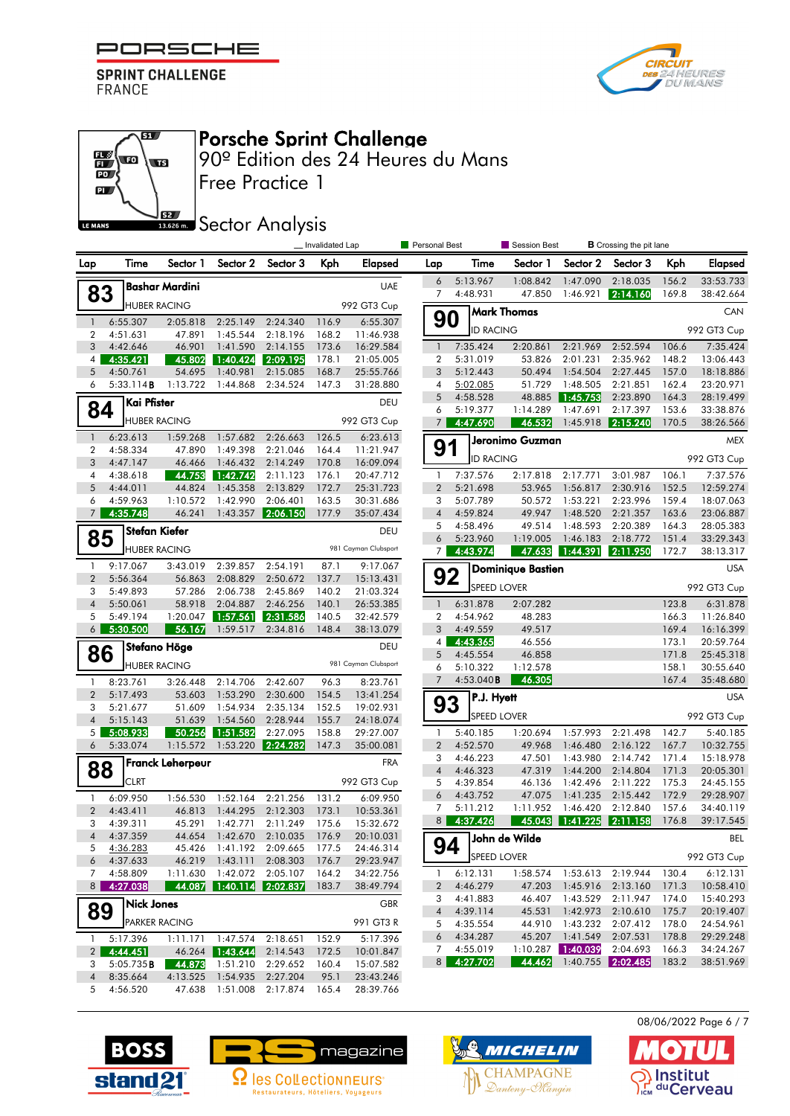

67

 $\overline{\mathbf{w}}$ 

62

 $\mathbb{E}\left( \mathbf{r}\right)$ 

 $\mathbf{D}$  $\mathbf{p}$ 

LE MANS



## Porsche Sprint Challenge

Free Practice 1 90º Edition des 24 Heures du Mans

**SECOLOGY** Analysis

|                     |                        |                         |                                      |                                | _Invalidated Lap |                        | Personal Best       | Session Best<br><b>B</b> Crossing the pit lane |                                       |                             |                              |                |                        |  |
|---------------------|------------------------|-------------------------|--------------------------------------|--------------------------------|------------------|------------------------|---------------------|------------------------------------------------|---------------------------------------|-----------------------------|------------------------------|----------------|------------------------|--|
| Lap                 | Time                   | Sector 1                | Sector 2                             | Sector 3                       | Kph              | <b>Elapsed</b>         | Lap                 | Time                                           | Sector 1                              | Sector 2                    | Sector 3                     | Kph            | <b>Elapsed</b>         |  |
|                     |                        | <b>Bashar Mardini</b>   |                                      |                                |                  | <b>UAE</b>             | 6                   | 5:13.967                                       | 1:08.842                              | 1:47.090                    | 2:18.035                     | 156.2          | 33:53.733              |  |
| 83                  |                        | <b>HUBER RACING</b>     |                                      |                                |                  | 992 GT3 Cup            | $\overline{7}$      | 4:48.931                                       | 47.850                                | 1:46.921                    | 2:14.160                     | 169.8          | 38:42.664              |  |
| $\mathbf{1}$        | 6:55.307               | 2:05.818                |                                      | 2:25.149 2:24.340              | 116.9            | 6:55.307               | 90                  |                                                | <b>Mark Thomas</b>                    |                             |                              |                | CAN                    |  |
| 2                   | 4:51.631               | 47.891                  | 1:45.544                             | 2:18.196                       | 168.2            | 11:46.938              |                     | <b>ID RACING</b>                               |                                       |                             |                              |                | 992 GT3 Cup            |  |
| 3                   | 4:42.646               | 46.901                  | 1:41.590                             | 2:14.155                       | 173.6            | 16:29.584              | $\overline{1}$      | 7:35.424                                       | 2:20.861                              | 2:21.969                    | 2:52.594                     | 106.6          | 7:35.424               |  |
| 4                   | 4:35.421               | 45.802                  | 1:40.424                             | 2:09.195                       | 178.1            | 21:05.005              | $\overline{2}$      | 5:31.019                                       | 53.826                                | 2:01.231                    | 2:35.962                     | 148.2          | 13:06.443              |  |
| 5                   | 4:50.761               | 54.695                  | 1:40.981                             | 2:15.085                       | 168.7            | 25:55.766              | 3                   | 5:12.443                                       | 50.494                                | 1:54.504                    | 2:27.445                     | 157.0          | 18:18.886              |  |
| 6                   | 5:33.114B              | 1:13.722                | 1:44.868                             | 2:34.524                       | 147.3            | 31:28.880              | $\overline{4}$      | 5:02.085                                       | 51.729                                | 1:48.505                    | 2:21.851                     | 162.4          | 23:20.971              |  |
| 84                  | Kai Pfister            |                         |                                      |                                |                  | <b>DEU</b>             | 5<br>6              | 4:58.528<br>5:19.377                           | 48.885<br>1:14.289                    | 1:45.753<br>1:47.691        | 2:23.890<br>2:17.397         | 164.3<br>153.6 | 28:19.499<br>33:38.876 |  |
|                     |                        | <b>HUBER RACING</b>     |                                      |                                |                  | 992 GT3 Cup            | $\overline{7}$      | 4:47.690                                       | 46.532                                | 1:45.918                    | 2:15.240                     | 170.5          | 38:26.566              |  |
| $\mathbf{1}$        | 6:23.613               | 1:59.268                | 1:57.682                             | 2:26.663                       | 126.5            | 6:23.613               |                     |                                                | Jeronimo Guzman                       |                             |                              |                |                        |  |
| $\overline{2}$      | 4:58.334               | 47.890                  | 1:49.398                             | 2:21.046                       | 164.4            | 11:21.947              | 91                  |                                                |                                       |                             |                              |                | <b>MEX</b>             |  |
| 3                   | 4:47.147               | 46.466                  | 1:46.432                             | 2:14.249                       | 170.8            | 16:09.094              |                     | <b>ID RACING</b>                               |                                       |                             |                              |                | 992 GT3 Cup            |  |
| 4                   | 4:38.618               | 44.753                  | 1:42.742                             | 2:11.123                       | 176.1            | 20:47.712              | 1                   | 7:37.576                                       | 2:17.818                              | 2:17.771                    | 3:01.987                     | 106.1          | 7:37.576               |  |
| 5                   | 4:44.011               | 44.824                  | 1:45.358                             | 2:13.829                       | 172.7            | 25:31.723              | $\overline{2}$      | 5:21.698                                       | 53.965                                | 1:56.817                    | 2:30.916                     | 152.5          | 12:59.274              |  |
| 6                   | 4:59.963               | 1:10.572                | 1:42.990                             | 2:06.401                       | 163.5            | 30:31.686              | 3                   | 5:07.789                                       | 50.572                                | 1:53.221                    | 2:23.996                     | 159.4          | 18:07.063              |  |
| 7 <sup>1</sup>      | 4:35.748               | 46.241                  | 1:43.357                             | 2:06.150                       | 177.9            | 35:07.434              | $\overline{4}$<br>5 | 4:59.824<br>4:58.496                           | 49.947<br>49.514                      | 1:48.520<br>1:48.593        | 2:21.357<br>2:20.389         | 163.6<br>164.3 | 23:06.887<br>28:05.383 |  |
| 85                  |                        | Stefan Kiefer           |                                      |                                |                  | <b>DEU</b>             | 6                   | 5:23.960                                       | 1:19.005                              | 1:46.183                    | 2:18.772                     | 151.4          | 33:29.343              |  |
|                     |                        | <b>HUBER RACING</b>     |                                      |                                |                  | 981 Cayman Clubsport   | $\overline{7}$      | 4:43.974                                       | 47.633                                | 1:44.391                    | 2:11.950                     | 172.7          | 38:13.317              |  |
| $\mathbf{1}$        | 9:17.067               | 3:43.019                | 2:39.857                             | 2:54.191                       | 87.1             | 9:17.067               |                     |                                                | <b>Dominique Bastien</b>              |                             |                              |                | <b>USA</b>             |  |
| $\overline{2}$      | 5:56.364               | 56.863                  | 2:08.829                             | 2:50.672                       | 137.7            | 15:13.431              | 92                  |                                                |                                       |                             |                              |                |                        |  |
| 3                   | 5:49.893               | 57.286                  | 2:06.738                             | 2:45.869                       | 140.2            | 21:03.324              |                     |                                                | SPEED LOVER                           |                             |                              |                | 992 GT3 Cup            |  |
| $\overline{4}$      | 5:50.061               | 58.918                  | 2:04.887                             | 2:46.256                       | 140.1            | 26:53.385              | $\overline{1}$      | 6:31.878                                       | 2:07.282                              |                             |                              | 123.8          | 6:31.878               |  |
| 5<br>6              | 5:49.194<br>5:30.500   | 1:20.047<br>56.167      | 1:57.561<br>1:59.517                 | 2:31.586<br>2:34.816           | 140.5<br>148.4   | 32:42.579<br>38:13.079 | $\overline{2}$<br>3 | 4:54.962<br>4:49.559                           | 48.283<br>49.517                      |                             |                              | 166.3<br>169.4 | 11:26.840<br>16:16.399 |  |
|                     |                        |                         |                                      |                                |                  |                        | 4 <sup>1</sup>      | 4:43.365                                       | 46.556                                |                             |                              | 173.1          | 20:59.764              |  |
| 86                  |                        | Stefano Höge            |                                      |                                |                  | DEU                    | 5                   | 4:45.554                                       | 46.858                                |                             |                              | 171.8          | 25:45.318              |  |
|                     |                        | <b>HUBER RACING</b>     |                                      |                                |                  | 981 Cayman Clubsport   | 6                   | 5:10.322                                       | 1:12.578                              |                             |                              | 158.1          | 30:55.640              |  |
| $\mathbf{1}$        | 8:23.761               | 3:26.448                | 2:14.706                             | 2:42.607                       | 96.3             | 8:23.761               | $\overline{7}$      | 4:53.040B                                      | 46.305                                |                             |                              | 167.4          | 35:48.680              |  |
| $\overline{2}$      | 5:17.493               | 53.603                  | 1:53.290                             | 2:30.600                       | 154.5            | 13:41.254              |                     | P.J. Hyett                                     |                                       |                             |                              |                | <b>USA</b>             |  |
| 3                   | 5:21.677               | 51.609                  | 1:54.934                             | 2:35.134                       | 152.5            | 19:02.931              | 93                  | SPEED LOVER                                    |                                       |                             |                              |                | 992 GT3 Cup            |  |
| $\overline{4}$<br>5 | 5:15.143<br>5:08.933   | 51.639<br>50.256        | 1:54.560<br>1:51.582                 | 2:28.944<br>2:27.095           | 155.7<br>158.8   | 24:18.074<br>29:27.007 | $\mathbf{1}$        | 5:40.185                                       | 1:20.694                              | 1:57.993                    | 2:21.498                     | 142.7          | 5:40.185               |  |
| 6                   | 5:33.074               | 1:15.572                | 1:53.220                             | 2:24.282                       | 147.3            | 35:00.081              | 2                   | 4:52.570                                       | 49.968                                | 1:46.480                    | 2:16.122                     | 167.7          | 10:32.755              |  |
|                     |                        |                         |                                      |                                |                  |                        | 3                   | 4:46.223                                       | 47.501                                | 1:43.980                    | 2:14.742                     | 171.4          | 15:18.978              |  |
| 88                  |                        | <b>Franck Leherpeur</b> |                                      |                                |                  | <b>FRA</b>             | $\overline{4}$      | 4:46.323                                       | 47.319                                | 1:44.200                    | 2:14.804                     | 171.3          | 20:05.301              |  |
|                     | <b>CLRT</b>            |                         |                                      |                                |                  | 992 GT3 Cup            | 5                   | 4:39.854                                       | 46.136                                | 1:42.496                    | 2:11.222                     | 175.3          | 24:45.155              |  |
| $\mathbf{1}$        | 6:09.950               | 1:56.530                | 1:52.164                             | 2:21.256                       | 131.2            | 6:09.950               | 6                   | 4:43.752                                       | 47.075                                | 1:41.235                    | 2:15.442                     | 172.9          | 29:28.907              |  |
| $\overline{2}$      | 4:43.411               | 46.813                  | 1:44.295                             | 2:12.303                       | 173.1            | 10:53.361              | 7                   | 5:11.212                                       | 1:11.952                              | 1:46.420<br>1:41.225        | 2:12.840<br>2:11.158         | 157.6          | 34:40.119              |  |
| 3                   | 4:39.311               | 45.291                  | 1:42.771                             | 2:11.249                       | 175.6            | 15:32.672              | 8 <sup>1</sup>      | 4:37.426                                       | 45.043                                |                             |                              | 176.8          | 39:17.545              |  |
| 5                   | 4 4:37.359<br>4:36.283 |                         | 45.426 1:41.192 2:09.665             | 44.654 1:42.670 2:10.035 176.9 | 177.5            | 20:10.031<br>24:46.314 | ┍<br>94             |                                                | $\overline{\mathbb{u}}$ John de Wilde |                             |                              |                | <b>BEL</b>             |  |
| 6                   | 4:37.633               | 46.219                  |                                      | 1:43.111 2:08.303              | 176.7            | 29:23.947              |                     | <b>SPEED LOVER</b>                             |                                       |                             |                              |                | 992 GT3 Cup            |  |
| 7                   | 4:58.809               | 1:11.630                | 1:42.072                             | 2:05.107                       | 164.2            | 34:22.756              | $\mathbf{1}$        | 6:12.131                                       |                                       |                             | 1:58.574  1:53.613  2:19.944 | 130.4          | 6:12.131               |  |
|                     | 8 4:27.038             | 44.087                  | 1:40.114   2:02.837                  |                                | 183.7            | 38:49.794              | $\mathbf{2}$        | 4:46.279                                       | 47.203                                | 1:45.916                    | 2:13.160                     | 171.3          | 10:58.410              |  |
|                     | <b>Nick Jones</b>      |                         |                                      |                                |                  | <b>GBR</b>             | 3                   | 4:41.883                                       | 46.407                                | 1:43.529                    | 2:11.947                     | 174.0          | 15:40.293              |  |
| 89                  |                        |                         |                                      |                                |                  |                        | $\overline{4}$      | 4:39.114                                       | 45.531                                | 1:42.973                    | 2:10.610                     | 175.7          | 20:19.407              |  |
|                     |                        | <b>PARKER RACING</b>    |                                      |                                |                  | 991 GT3 R              |                     | 5 4:35.554<br>64:34.287                        | 44.910                                | 1:43.232                    | 2:07.412                     | 178.0          | 24:54.961              |  |
| $\mathbf{1}$        | 5:17.396               | 1:11.171                | 1:47.574                             | 2:18.651                       | 152.9            | 5:17.396               |                     | 7 4:55.019                                     | 1:10.287                              | 45.207 1:41.549<br>1:40.039 | 2:07.531<br>2:04.693         | 178.8<br>166.3 | 29:29.248<br>34:24.267 |  |
| 2 <sub>1</sub><br>3 | 4:44.451<br>5:05.735B  | 44.873                  | 46.264 1:43.644<br>1:51.210 2:29.652 | 2:14.543                       | 172.5<br>160.4   | 10:01.847<br>15:07.582 |                     | 8 4:27.702                                     | 44.462                                |                             | 1:40.755 2:02.485            | 183.2          | 38:51.969              |  |
| $\overline{4}$      | 8:35.664               | 4:13.525                | 1:54.935                             | 2:27.204                       | 95.1             | 23:43.246              |                     |                                                |                                       |                             |                              |                |                        |  |
|                     | 5 4:56.520             |                         |                                      | 47.638 1:51.008 2:17.874 165.4 |                  | 28:39.766              |                     |                                                |                                       |                             |                              |                |                        |  |